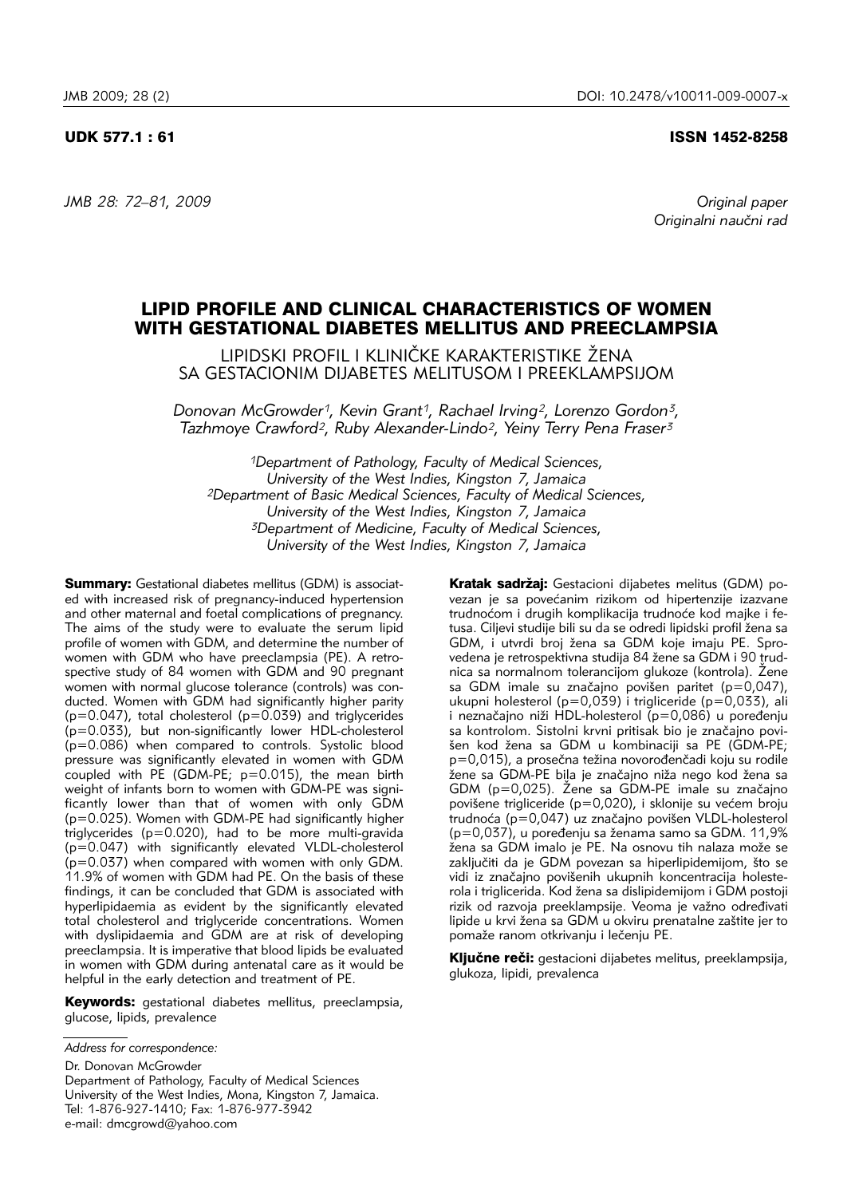# UDK 577.1 : 61 ISSN 1452-8258

*JMB 28: 72–81, 2009 Original paper*

*Originalni nau~ni rad*

# LIPID PROFILE AND CLINICAL CHARACTERISTICS OF WOMEN WITH GESTATIONAL DIABETES MELLITUS AND PREECLAMPSIA

LIPIDSKI PROFIL I KLINIČKE KARAKTERISTIKE ŽENA SA GESTACIONIM DIJABETES MELITUSOM I PREEKLAMPSIJOM

*Donovan McGrowder1, Kevin Grant1, Rachael Irving2, Lorenzo Gordon3, Tazhmoye Crawford2, Ruby Alexander-Lindo2, Yeiny Terry Pena Fraser3*

*1Department of Pathology, Faculty of Medical Sciences, University of the West Indies, Kingston 7, Jamaica 2Department of Basic Medical Sciences, Faculty of Medical Sciences, University of the West Indies, Kingston 7, Jamaica 3Department of Medicine, Faculty of Medical Sciences, University of the West Indies, Kingston 7, Jamaica*

Summary: Gestational diabetes mellitus (GDM) is associated with increased risk of pregnancy-induced hypertension and other maternal and foetal complications of pregnancy. The aims of the study were to evaluate the serum lipid profile of women with GDM, and determine the number of women with GDM who have preeclampsia (PE). A retrospective study of 84 women with GDM and 90 pregnant women with normal glucose tolerance (controls) was conducted. Women with GDM had significantly higher parity  $(p=0.047)$ , total cholesterol ( $p=0.039$ ) and triglycerides (p=0.033), but non-significantly lower HDL-cholesterol (p=0.086) when compared to controls. Systolic blood pressure was significantly elevated in women with GDM coupled with  $\overline{PE}$  (GDM-PE;  $p=0.015$ ), the mean birth weight of infants born to women with GDM-PE was significantly lower than that of women with only GDM  $(p=0.025)$ . Women with GDM-PE had significantly higher triglycerides (p=0.020), had to be more multi-gravida (p=0.047) with significantly elevated VLDL-cholesterol (p=0.037) when compared with women with only GDM. 11.9% of women with GDM had PE. On the basis of these findings, it can be concluded that GDM is associated with hyperlipidaemia as evident by the significantly elevated total cholesterol and triglyceride concentrations. Women with dyslipidaemia and GDM are at risk of developing preeclampsia. It is imperative that blood lipids be evaluated in women with GDM during antenatal care as it would be helpful in the early detection and treatment of PE.

Keywords: gestational diabetes mellitus, preeclampsia, glucose, lipids, prevalence

Dr. Donovan McGrowder Department of Pathology, Faculty of Medical Sciences University of the West Indies, Mona, Kingston 7, Jamaica. Tel: 1-876-927-1410; Fax: 1-876-977-3942 e-mail: dmcgrowd@yahoo.com

Kratak sadržaj: Gestacioni dijabetes melitus (GDM) povezan je sa povećanim rizikom od hipertenzije izazvane trudnoćom i drugih komplikacija trudnoće kod majke i fetusa. Ciljevi studije bili su da se odredi lipidski profil žena sa GDM, i utvrdi broj žena sa GDM koje imaju PE. Sprovedena je retrospektivna studija 84 žene sa GDM i 90 trudnica sa normalnom tolerancijom glukoze (kontrola). Žene sa GDM imale su značajno povišen paritet (p=0,047), ukupni holesterol (p=0,039) i trigliceride (p=0,033), ali i neznačajno niži HDL-holesterol ( $p=0,086$ ) u poređenju sa kontrolom. Sistolni krvni pritisak bio je značajno povišen kod žena sa GDM u kombinaciji sa PE (GDM-PE; p=0,015), a prosečna težina novorođenčadi koju su rodile žene sa GDM-PE bila je značajno niža nego kod žena sa GDM ( $p=0.025$ ). Žene sa GDM-PE imale su značajno povišene trigliceride (p=0,020), i sklonije su većem broju trudnoća (p=0,047) uz značajno povišen VLDL-holesterol  $(p=0.037)$ , u poređenju sa ženama samo sa GDM. 11,9% žena sa GDM imalo je PE. Na osnovu tih nalaza može se zaključiti da je GDM povezan sa hiperlipidemijom, što se vidi iz značajno povišenih ukupnih koncentracija holesterola i triglicerida. Kod žena sa dislipidemijom i GDM postoji rizik od razvoja preeklampsije. Veoma je važno određivati lipide u krvi žena sa GDM u okviru prenatalne zaštite jer to pomaže ranom otkrivanju i lečenju PE.

Ključne reči: gestacioni dijabetes melitus, preeklampsija, glukoza, lipidi, prevalenca

*Address for correspondence:*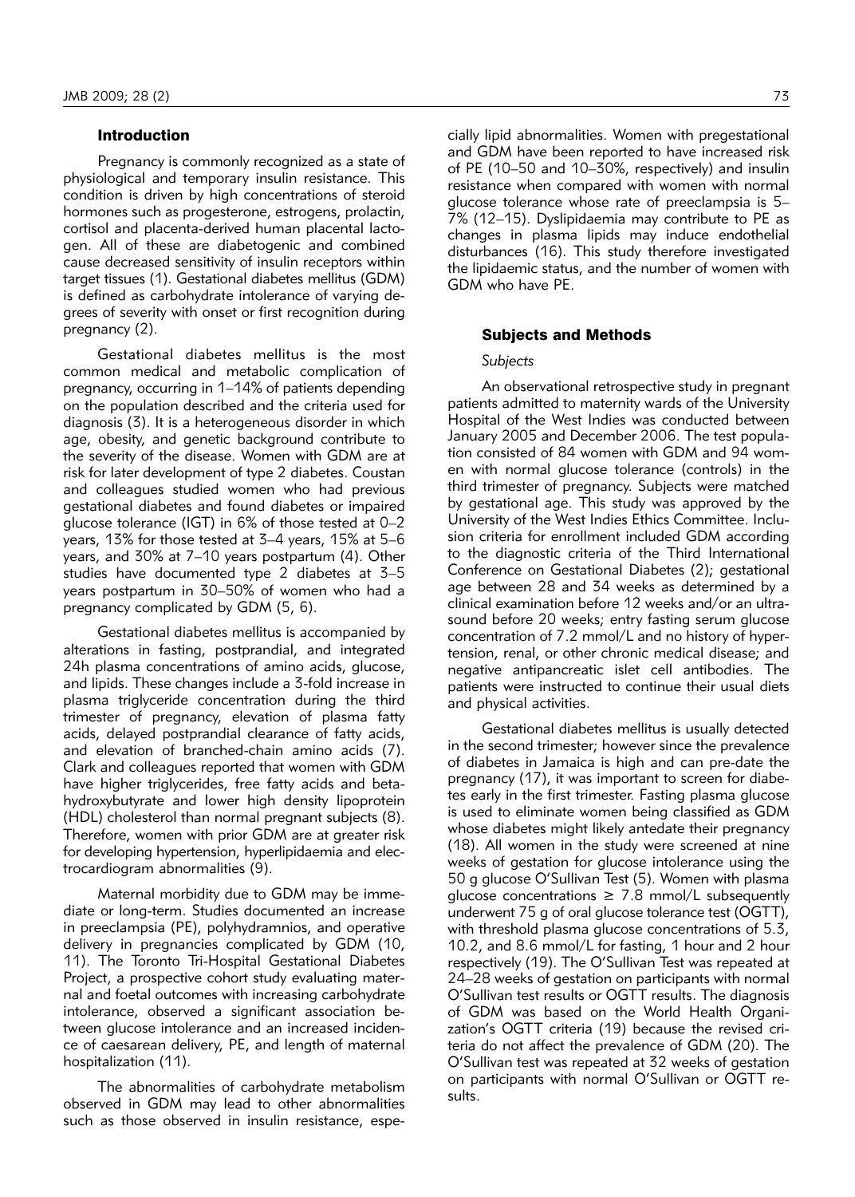# Introduction

Pregnancy is commonly recognized as a state of physiological and temporary insulin resistance. This condition is driven by high concentrations of steroid hormones such as progesterone, estrogens, prolactin, cortisol and placenta-derived human placental lactogen. All of these are diabetogenic and combined cause decreased sensitivity of insulin receptors within target tissues (1). Gestational diabetes mellitus (GDM) is defined as carbohydrate intolerance of varying degrees of severity with onset or first recognition during pregnancy (2).

Gestational diabetes mellitus is the most common medical and metabolic complication of pregnancy, occurring in 1–14% of patients depending on the population described and the criteria used for diagnosis (3). It is a heterogeneous disorder in which age, obesity, and genetic background contribute to the severity of the disease. Women with GDM are at risk for later development of type 2 diabetes. Coustan and colleagues studied women who had previous gestational diabetes and found diabetes or impaired glucose tolerance (IGT) in 6% of those tested at 0–2 years, 13% for those tested at 3–4 years, 15% at 5–6 years, and 30% at 7–10 years postpartum (4). Other studies have documented type 2 diabetes at 3–5 years postpartum in 30–50% of women who had a pregnancy complicated by GDM (5, 6).

Gestational diabetes mellitus is accompanied by alterations in fasting, postprandial, and integrated 24h plasma concentrations of amino acids, glucose, and lipids. These changes include a 3-fold increase in plasma triglyceride concentration during the third trimester of pregnancy, elevation of plasma fatty acids, delayed postprandial clearance of fatty acids, and elevation of branched-chain amino acids (7). Clark and colleagues reported that women with GDM have higher triglycerides, free fatty acids and betahydroxybutyrate and lower high density lipoprotein (HDL) cholesterol than normal pregnant subjects (8). Therefore, women with prior GDM are at greater risk for developing hypertension, hyperlipidaemia and electrocardiogram abnormalities (9).

Maternal morbidity due to GDM may be immediate or long-term. Studies documented an increase in preeclampsia (PE), polyhydramnios, and operative delivery in pregnancies complicated by GDM (10, 11). The Toronto Tri-Hospital Gestational Diabetes Project, a prospective cohort study evaluating maternal and foetal outcomes with increasing carbohydrate intolerance, observed a significant association between glucose intolerance and an increased incidence of caesarean delivery, PE, and length of maternal hospitalization (11).

The abnormalities of carbohydrate metabolism observed in GDM may lead to other abnormalities such as those observed in insulin resistance, espe-

cially lipid abnormalities. Women with pregestational and GDM have been reported to have increased risk of PE (10–50 and 10–30%, respectively) and insulin resistance when compared with women with normal glucose tolerance whose rate of preeclampsia is 5– 7% (12–15). Dyslipidaemia may contribute to PE as changes in plasma lipids may induce endothelial disturbances (16). This study therefore investigated the lipidaemic status, and the number of women with GDM who have PE.

#### Subjects and Methods

#### *Subjects*

An observational retrospective study in pregnant patients admitted to maternity wards of the University Hospital of the West Indies was conducted between January 2005 and December 2006. The test population consisted of 84 women with GDM and 94 women with normal glucose tolerance (controls) in the third trimester of pregnancy. Subjects were matched by gestational age. This study was approved by the University of the West Indies Ethics Committee. Inclusion criteria for enrollment included GDM according to the diagnostic criteria of the Third International Conference on Gestational Diabetes (2); gestational age between 28 and 34 weeks as determined by a clinical examination before 12 weeks and/or an ultrasound before 20 weeks; entry fasting serum glucose concentration of 7.2 mmol/L and no history of hypertension, renal, or other chronic medical disease; and negative antipancreatic islet cell antibodies. The patients were instructed to continue their usual diets and physical activities.

Gestational diabetes mellitus is usually detected in the second trimester; however since the prevalence of diabetes in Jamaica is high and can pre-date the pregnancy (17), it was important to screen for diabetes early in the first trimester. Fasting plasma glucose is used to eliminate women being classified as GDM whose diabetes might likely antedate their pregnancy (18). All women in the study were screened at nine weeks of gestation for glucose intolerance using the 50 g glucose O'Sullivan Test (5). Women with plasma glucose concentrations  $\geq$  7.8 mmol/L subsequently underwent 75 g of oral glucose tolerance test (OGTT), with threshold plasma glucose concentrations of 5.3, 10.2, and 8.6 mmol/L for fasting, 1 hour and 2 hour respectively (19). The O'Sullivan Test was repeated at 24–28 weeks of gestation on participants with normal O'Sullivan test results or OGTT results. The diagnosis of GDM was based on the World Health Organization's OGTT criteria (19) because the revised criteria do not affect the prevalence of GDM (20). The O'Sullivan test was repeated at 32 weeks of gestation on participants with normal O'Sullivan or OGTT results.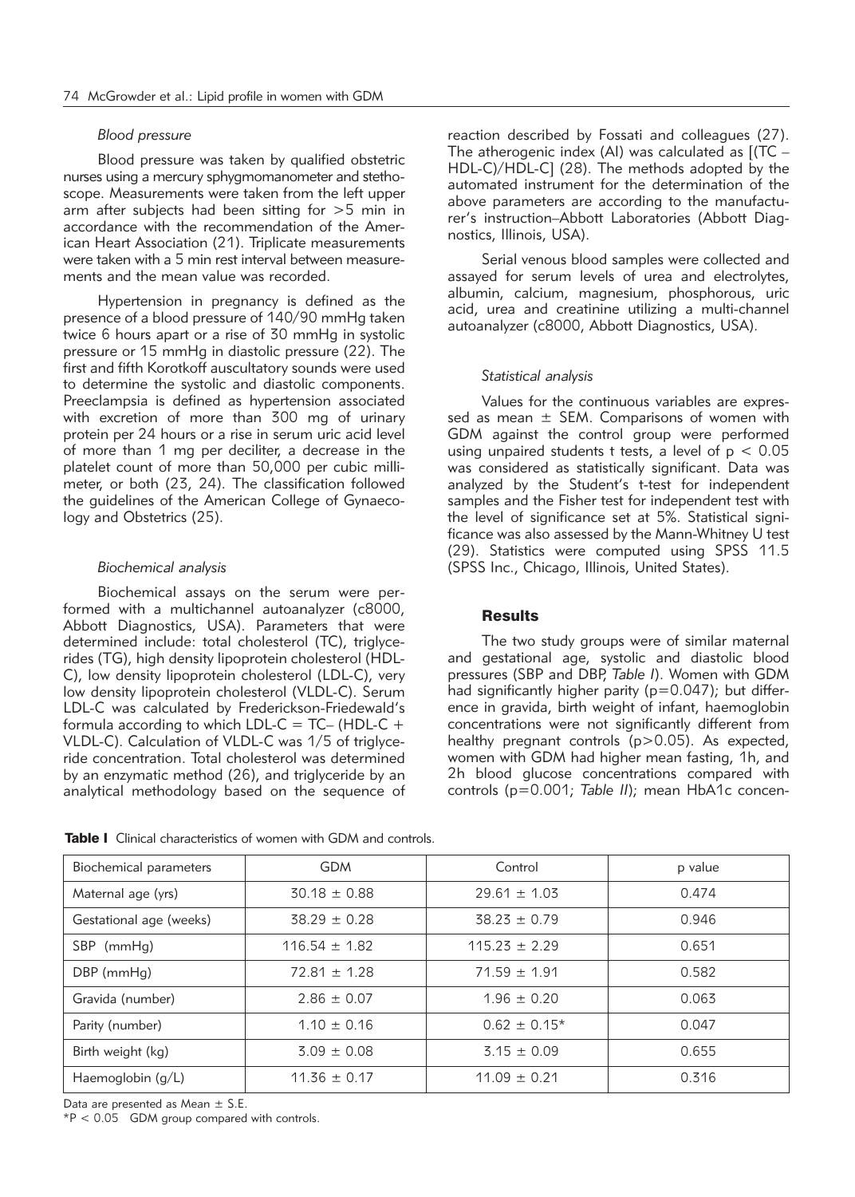### *Blood pressure*

Blood pressure was taken by qualified obstetric nurses using a mercury sphygmomanometer and stethoscope. Measurements were taken from the left upper arm after subjects had been sitting for >5 min in accordance with the recommendation of the American Heart Association (21). Triplicate measurements were taken with a 5 min rest interval between measurements and the mean value was recorded.

Hypertension in pregnancy is defined as the presence of a blood pressure of 140/90 mmHg taken twice 6 hours apart or a rise of 30 mmHg in systolic pressure or 15 mmHg in diastolic pressure (22). The first and fifth Korotkoff auscultatory sounds were used to determine the systolic and diastolic components. Preeclampsia is defined as hypertension associated with excretion of more than 300 mg of urinary protein per 24 hours or a rise in serum uric acid level of more than 1 mg per deciliter, a decrease in the platelet count of more than 50,000 per cubic millimeter, or both  $(23, 24)$ . The classification followed the guidelines of the American College of Gynaecology and Obstetrics (25).

## *Biochemical analysis*

Biochemical assays on the serum were performed with a multichannel autoanalyzer (c8000, Abbott Diagnostics, USA). Parameters that were determined include: total cholesterol (TC), triglycerides (TG), high density lipoprotein cholesterol (HDL-C), low density lipoprotein cholesterol (LDL-C), very low density lipoprotein cholesterol (VLDL-C). Serum LDL-C was calculated by Frederickson-Friedewald's formula according to which LDL-C =  $TC-$  (HDL-C + VLDL-C). Calculation of VLDL-C was 1/5 of triglyceride con centration. Total cholesterol was determined by an enzymatic method (26), and triglyceride by an analytical methodology based on the sequence of

reaction described by Fossati and colleagues (27). The atherogenic index (AI) was calculated as  $[(TC -$ HDL-C)/HDL-C] (28). The methods adopted by the automated instrument for the determination of the above parameters are according to the manufacturer's instruction–Abbott Laboratories (Abbott Diagno stics, Illinois, USA).

Serial venous blood samples were collected and assayed for serum levels of urea and electrolytes, albu min, calcium, magnesium, phosphorous, uric acid, urea and creatinine utilizing a multi-channel auto analyzer (c8000, Abbott Diagnostics, USA).

# *Statistical analysis*

Values for the continuous variables are expressed as mean  $\pm$  SEM. Comparisons of women with GDM against the control group were performed using unpaired students t tests, a level of  $p < 0.05$ was considered as statistically significant. Data was analyzed by the Student's t-test for independent samples and the Fisher test for independent test with the level of significance set at 5%. Statistical significance was also assessed by the Mann-Whitney U test (29). Statistics were computed using SPSS 11.5 (SPSS Inc., Chicago, Illinois, United States).

# Results

The two study groups were of similar maternal and gestational age, systolic and diastolic blood pressures (SBP and DBP, *Table I*). Women with GDM had significantly higher parity ( $p=0.047$ ); but difference in gravida, birth weight of infant, haemoglobin concentrations were not significantly different from healthy pregnant controls (p>0.05). As expected, women with GDM had higher mean fasting, 1h, and 2h blood glucose concentrations compared with controls (p=0.001; Table II); mean HbA1c concen-

**Table I** Clinical characteristics of women with GDM and controls.

| Biochemical parameters  | <b>GDM</b>        | Control           | p value |
|-------------------------|-------------------|-------------------|---------|
| Maternal age (yrs)      | $30.18 \pm 0.88$  | $29.61 \pm 1.03$  | 0.474   |
| Gestational age (weeks) | $38.29 \pm 0.28$  | $38.23 \pm 0.79$  | 0.946   |
| SBP (mmHg)              | $116.54 \pm 1.82$ | $115.23 \pm 2.29$ | 0.651   |
| $DBP$ (mmHg)            | $72.81 \pm 1.28$  | $71.59 \pm 1.91$  | 0.582   |
| Gravida (number)        | $2.86 \pm 0.07$   | $1.96 \pm 0.20$   | 0.063   |
| Parity (number)         | $1.10 \pm 0.16$   | $0.62 \pm 0.15*$  | 0.047   |
| Birth weight (kg)       | $3.09 \pm 0.08$   | $3.15 \pm 0.09$   | 0.655   |
| Haemoglobin $(q/L)$     | $11.36 \pm 0.17$  | $11.09 \pm 0.21$  | 0.316   |

Data are presented as Mean ± S.E.

 $*P < 0.05$  GDM group compared with controls.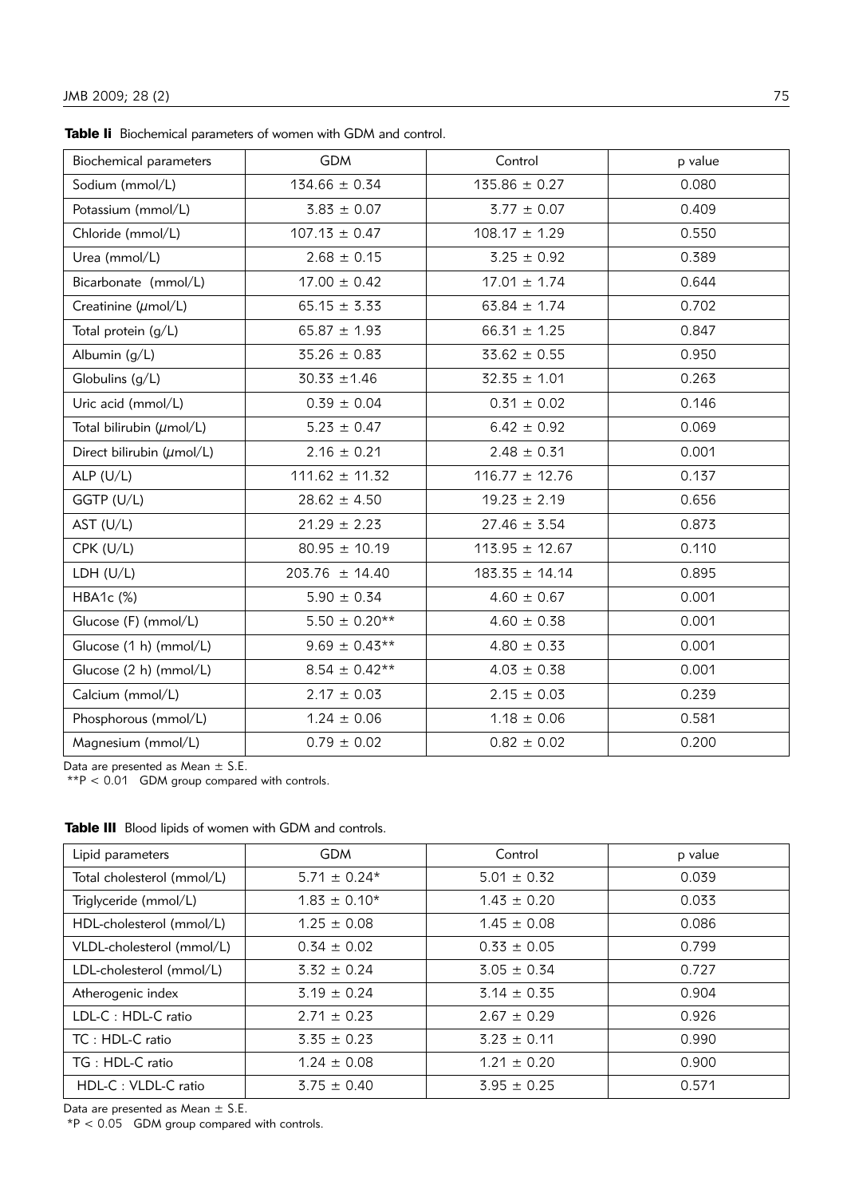Table Ii Biochemical parameters of women with GDM and control.

| Biochemical parameters               | <b>GDM</b>         | Control            | p value |
|--------------------------------------|--------------------|--------------------|---------|
| Sodium (mmol/L)                      | $134.66 \pm 0.34$  | $135.86 \pm 0.27$  | 0.080   |
| Potassium (mmol/L)                   | $3.83 \pm 0.07$    | $3.77 \pm 0.07$    | 0.409   |
| Chloride (mmol/L)                    | $107.13 \pm 0.47$  | $108.17 \pm 1.29$  | 0.550   |
| Urea (mmol/L)                        | $2.68 \pm 0.15$    | $3.25 \pm 0.92$    | 0.389   |
| Bicarbonate (mmol/L)                 | $17.00 \pm 0.42$   | $17.01 \pm 1.74$   | 0.644   |
| Creatinine (umol/L)                  | $65.15 \pm 3.33$   | $63.84 \pm 1.74$   | 0.702   |
| Total protein (g/L)                  | $65.87 \pm 1.93$   | $66.31 \pm 1.25$   | 0.847   |
| Albumin (g/L)                        | $35.26 \pm 0.83$   | $33.62 \pm 0.55$   | 0.950   |
| Globulins (g/L)                      | $30.33 \pm 1.46$   | $32.35 \pm 1.01$   | 0.263   |
| Uric acid (mmol/L)                   | $0.39 \pm 0.04$    | $0.31 \pm 0.02$    | 0.146   |
| Total bilirubin $(\mu \text{mol/L})$ | $5.23 \pm 0.47$    | $6.42 \pm 0.92$    | 0.069   |
| Direct bilirubin (umol/L)            | $2.16 \pm 0.21$    | $2.48 \pm 0.31$    | 0.001   |
| ALP $(U/L)$                          | $111.62 \pm 11.32$ | $116.77 \pm 12.76$ | 0.137   |
| GGTP (U/L)                           | $28.62 \pm 4.50$   | $19.23 \pm 2.19$   | 0.656   |
| AST (U/L)                            | $21.29 \pm 2.23$   | $27.46 \pm 3.54$   | 0.873   |
| CPK (U/L)                            | $80.95 \pm 10.19$  | $113.95 \pm 12.67$ | 0.110   |
| LDH (U/L)                            | $203.76 \pm 14.40$ | $183.35 \pm 14.14$ | 0.895   |
| HBA1c (%)                            | $5.90 \pm 0.34$    | $4.60 \pm 0.67$    | 0.001   |
| Glucose (F) (mmol/L)                 | $5.50 \pm 0.20**$  | $4.60 \pm 0.38$    | 0.001   |
| Glucose (1 h) (mmol/L)               | $9.69 \pm 0.43**$  | $4.80 \pm 0.33$    | 0.001   |
| Glucose (2 h) (mmol/L)               | $8.54 \pm 0.42**$  | $4.03 \pm 0.38$    | 0.001   |
| Calcium (mmol/L)                     | $2.17 \pm 0.03$    | $2.15 \pm 0.03$    | 0.239   |
| Phosphorous (mmol/L)                 | $1.24 \pm 0.06$    | $1.18 \pm 0.06$    | 0.581   |
| Magnesium (mmol/L)                   | $0.79 \pm 0.02$    | $0.82 \pm 0.02$    | 0.200   |

Data are presented as Mean  $\pm$  S.E.

\*\*P < 0.01 GDM group compared with controls.

| Lipid parameters           | <b>GDM</b>       | Control         | p value |
|----------------------------|------------------|-----------------|---------|
| Total cholesterol (mmol/L) | $5.71 \pm 0.24*$ | $5.01 \pm 0.32$ | 0.039   |
| Triglyceride (mmol/L)      | $1.83 \pm 0.10*$ | $1.43 \pm 0.20$ | 0.033   |
| HDL-cholesterol (mmol/L)   | $1.25 \pm 0.08$  | $1.45 \pm 0.08$ | 0.086   |
| VLDL-cholesterol (mmol/L)  | $0.34 \pm 0.02$  | $0.33 \pm 0.05$ | 0.799   |
| LDL-cholesterol (mmol/L)   | $3.32 \pm 0.24$  | $3.05 \pm 0.34$ | 0.727   |
| Atherogenic index          | $3.19 \pm 0.24$  | $3.14 \pm 0.35$ | 0.904   |
| LDL-C: HDL-C ratio         | $2.71 \pm 0.23$  | $2.67 \pm 0.29$ | 0.926   |
| TC: HDL-C ratio            | $3.35 \pm 0.23$  | $3.23 \pm 0.11$ | 0.990   |
| $TG : HDL-C$ ratio         | $1.24 \pm 0.08$  | $1.21 \pm 0.20$ | 0.900   |
| HDL-C: VLDL-C ratio        | $3.75 \pm 0.40$  | $3.95 \pm 0.25$ | 0.571   |

Table III Blood lipids of women with GDM and controls.

Data are presented as Mean  $\pm$  S.E.

 $*P < 0.05$  GDM group compared with controls.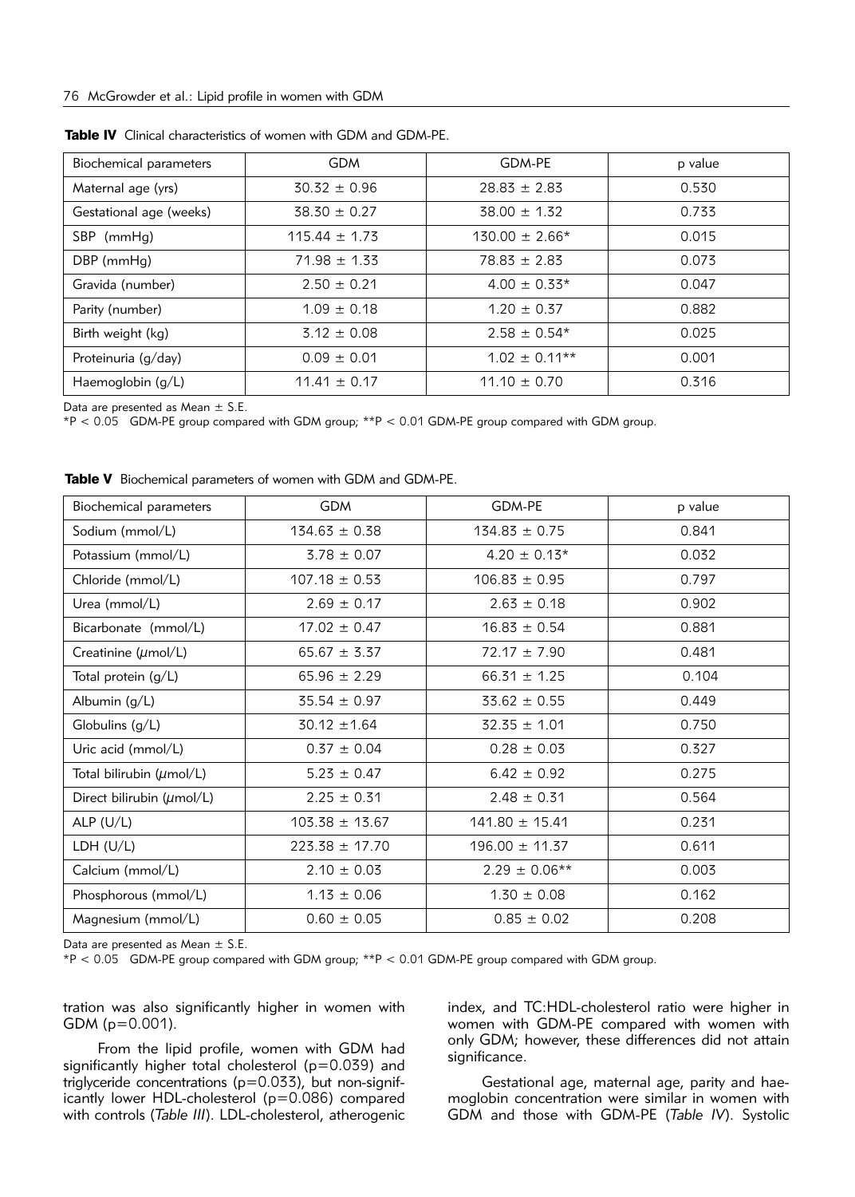| Biochemical parameters  | <b>GDM</b>        | GDM-PE             | p value |
|-------------------------|-------------------|--------------------|---------|
| Maternal age (yrs)      | $30.32 \pm 0.96$  | $28.83 \pm 2.83$   | 0.530   |
| Gestational age (weeks) | $38.30 \pm 0.27$  | $38.00 \pm 1.32$   | 0.733   |
| SBP (mmHg)              | $115.44 \pm 1.73$ | $130.00 \pm 2.66*$ | 0.015   |
| DBP (mmHg)              | $71.98 \pm 1.33$  | $78.83 \pm 2.83$   | 0.073   |
| Gravida (number)        | $2.50 \pm 0.21$   | $4.00 \pm 0.33*$   | 0.047   |
| Parity (number)         | $1.09 \pm 0.18$   | $1.20 \pm 0.37$    | 0.882   |
| Birth weight (kg)       | $3.12 \pm 0.08$   | $2.58 \pm 0.54*$   | 0.025   |
| Proteinuria (g/day)     | $0.09 \pm 0.01$   | $1.02 \pm 0.11**$  | 0.001   |
| Haemoglobin (g/L)       | $11.41 \pm 0.17$  | $11.10 \pm 0.70$   | 0.316   |

Data are presented as Mean  $\pm$  S.E.

\*P < 0.05 GDM-PE group compared with GDM group; \*\*P < 0.01 GDM-PE group compared with GDM group.

|  |  | Table V Biochemical parameters of women with GDM and GDM-PE. |  |  |  |  |  |
|--|--|--------------------------------------------------------------|--|--|--|--|--|
|--|--|--------------------------------------------------------------|--|--|--|--|--|

| Biochemical parameters    | <b>GDM</b>         | GDM-PE             | p value |
|---------------------------|--------------------|--------------------|---------|
| Sodium (mmol/L)           | $134.63 \pm 0.38$  | $134.83 \pm 0.75$  | 0.841   |
| Potassium (mmol/L)        | $3.78 \pm 0.07$    | $4.20 \pm 0.13*$   | 0.032   |
| Chloride (mmol/L)         | $107.18 \pm 0.53$  | $106.83 \pm 0.95$  | 0.797   |
| Urea (mmol/L)             | $2.69 \pm 0.17$    | $2.63 \pm 0.18$    | 0.902   |
| Bicarbonate (mmol/L)      | $17.02 \pm 0.47$   | $16.83 \pm 0.54$   | 0.881   |
| Creatinine (umol/L)       | $65.67 \pm 3.37$   | $72.17 \pm 7.90$   | 0.481   |
| Total protein (g/L)       | $65.96 \pm 2.29$   | $66.31 \pm 1.25$   | 0.104   |
| Albumin (g/L)             | $35.54 \pm 0.97$   | $33.62 \pm 0.55$   | 0.449   |
| Globulins (g/L)           | $30.12 \pm 1.64$   | $32.35 \pm 1.01$   | 0.750   |
| Uric acid (mmol/L)        | $0.37 \pm 0.04$    | $0.28 \pm 0.03$    | 0.327   |
| Total bilirubin (umol/L)  | $5.23 \pm 0.47$    | $6.42 \pm 0.92$    | 0.275   |
| Direct bilirubin (umol/L) | $2.25 \pm 0.31$    | $2.48 \pm 0.31$    | 0.564   |
| ALP $(U/L)$               | $103.38 \pm 13.67$ | $141.80 \pm 15.41$ | 0.231   |
| LDH (U/L)                 | $223.38 \pm 17.70$ | $196.00 \pm 11.37$ | 0.611   |
| Calcium (mmol/L)          | $2.10 \pm 0.03$    | $2.29 \pm 0.06**$  | 0.003   |
| Phosphorous (mmol/L)      | $1.13 \pm 0.06$    | $1.30 \pm 0.08$    | 0.162   |
| Magnesium (mmol/L)        | $0.60 \pm 0.05$    | $0.85 \pm 0.02$    | 0.208   |

Data are presented as Mean  $\pm$  S.E.

\*P < 0.05 GDM-PE group compared with GDM group; \*\*P < 0.01 GDM-PE group compared with GDM group.

tration was also significantly higher in women with GDM (p=0.001).

From the lipid profile, women with GDM had significantly higher total cholesterol (p=0.039) and triglyceride concentrations ( $p=0.033$ ), but non-significantly lower HDL-cholesterol (p=0.086) compared with controls (*Table III*). LDL-cholesterol, atherogenic index, and TC:HDL-cholesterol ratio were higher in women with GDM-PE compared with women with only GDM; however, these differences did not attain significance.

Gestational age, maternal age, parity and haemoglobin concentration were similar in women with GDM and those with GDM-PE (*Table IV*). Systolic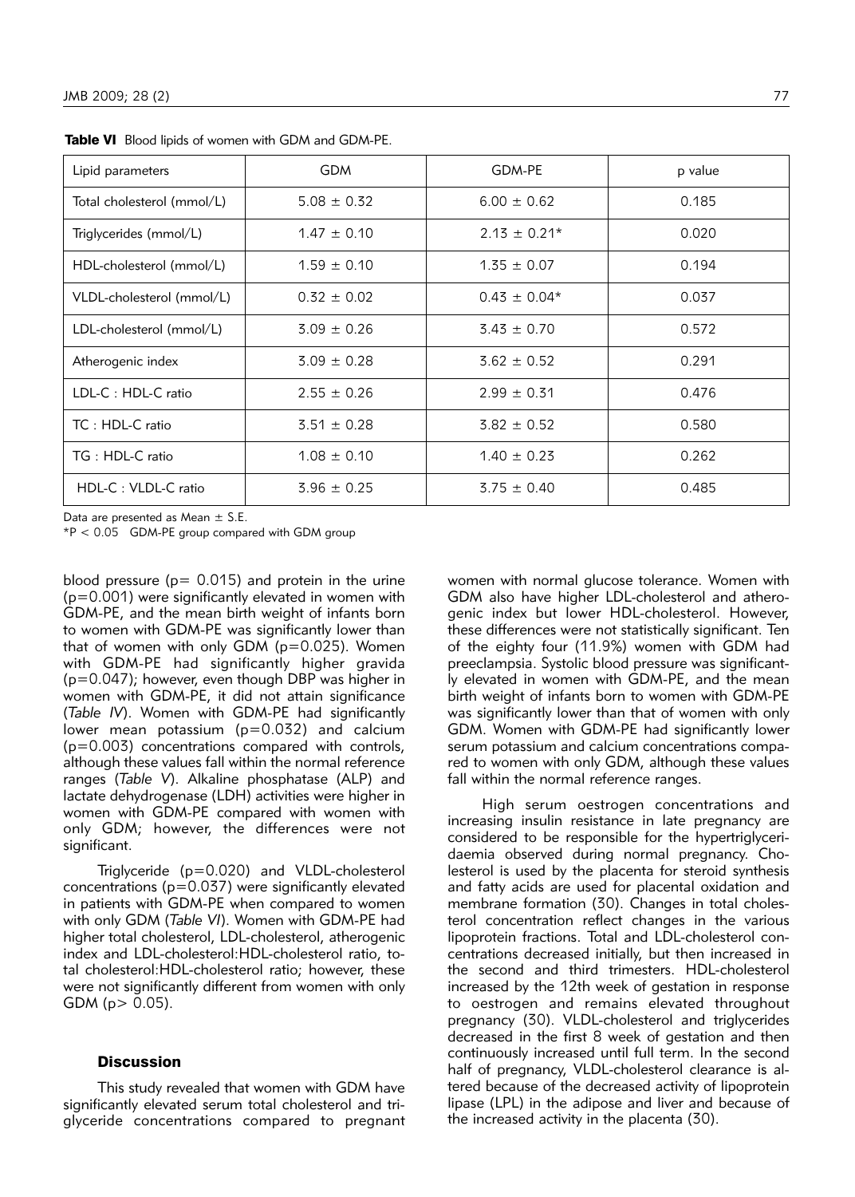| Lipid parameters           | <b>GDM</b>      | GDM-PE           | p value |
|----------------------------|-----------------|------------------|---------|
| Total cholesterol (mmol/L) | $5.08 \pm 0.32$ | $6.00 \pm 0.62$  | 0.185   |
| Triglycerides (mmol/L)     | $1.47 \pm 0.10$ | $2.13 \pm 0.21*$ | 0.020   |
| HDL-cholesterol (mmol/L)   | $1.59 \pm 0.10$ | $1.35 \pm 0.07$  | 0.194   |
| VLDL-cholesterol (mmol/L)  | $0.32 \pm 0.02$ | $0.43 \pm 0.04*$ | 0.037   |
| LDL-cholesterol (mmol/L)   | $3.09 \pm 0.26$ | $3.43 \pm 0.70$  | 0.572   |
| Atherogenic index          | $3.09 \pm 0.28$ | $3.62 \pm 0.52$  | 0.291   |
| LDL-C: HDL-C ratio         | $2.55 \pm 0.26$ | $2.99 \pm 0.31$  | 0.476   |
| TC: HDL-C ratio            | $3.51 \pm 0.28$ | $3.82 \pm 0.52$  | 0.580   |
| TG: HDL-C ratio            | $1.08 \pm 0.10$ | $1.40 \pm 0.23$  | 0.262   |
| HDL-C: VLDL-C ratio        | $3.96 \pm 0.25$ | $3.75 \pm 0.40$  | 0.485   |

Table VI Blood lipids of women with GDM and GDM-PE.

Data are presented as Mean  $\pm$  S.E.

\*P < 0.05 GDM-PE group compared with GDM group

blood pressure ( $p = 0.015$ ) and protein in the urine (p=0.001) were significantly elevated in women with GDM-PE, and the mean birth weight of infants born to women with GDM-PE was significantly lower than that of women with only GDM ( $p=0.025$ ). Women with GDM-PE had significantly higher gravida (p=0.047); however, even though DBP was higher in women with GDM-PE, it did not attain significance (*Table IV*). Women with GDM-PE had significantly lower mean potassium (p=0.032) and calcium (p=0.003) concentrations compared with controls, although these values fall within the normal reference ranges (Table V). Alkaline phosphatase (ALP) and lactate dehydrogenase (LDH) activities were higher in women with GDM-PE compared with women with only GDM; however, the differences were not significant.

Triglyceride (p=0.020) and VLDL-cholesterol concentrations (p=0.037) were significantly elevated in patients with GDM-PE when compared to women with only GDM (*Table VI*). Women with GDM-PE had higher total cholesterol, LDL-cholesterol, atherogenic index and LDL-cholesterol: HDL-cholesterol ratio, total cholesterol: HDL-cholesterol ratio; however, these were not significantly different from women with only GDM ( $p > 0.05$ ).

## **Discussion**

This study revealed that women with GDM have significantly elevated serum total cholesterol and trigly ceride concentrations compared to pregnant

women with normal glucose tolerance. Women with GDM also have higher LDL-cholesterol and atherogenic index but lower HDL-cholesterol. However, these differences were not statistically significant. Ten of the eighty four (11.9%) women with GDM had preeclampsia. Systolic blood pressure was significantly elevated in women with GDM-PE, and the mean birth weight of infants born to women with GDM-PE was significantly lower than that of women with only GDM. Women with GDM-PE had significantly lower serum potassium and calcium concentrations compared to women with only GDM, although these values fall within the normal reference ranges.

High serum oestrogen concentrations and increasing insulin resistance in late pregnancy are considered to be responsible for the hypertriglyceridaemia observed during normal pregnancy. Cholesterol is used by the placenta for steroid synthesis and fatty acids are used for placental oxidation and membrane formation (30). Changes in total cholesterol concentration reflect changes in the various lipoprotein fractions. Total and LDL-cholesterol concentrations decreased initially, but then increased in the second and third trimesters. HDL-cholesterol increased by the 12th week of gestation in response to oestrogen and remains elevated throughout pregnancy (30). VLDL-cholesterol and triglycerides decreased in the first 8 week of gestation and then continuously increased until full term. In the second half of pregnancy, VLDL-cholesterol clearance is altered because of the decreased activity of lipoprotein lipase (LPL) in the adipose and liver and because of the increased activity in the placenta (30).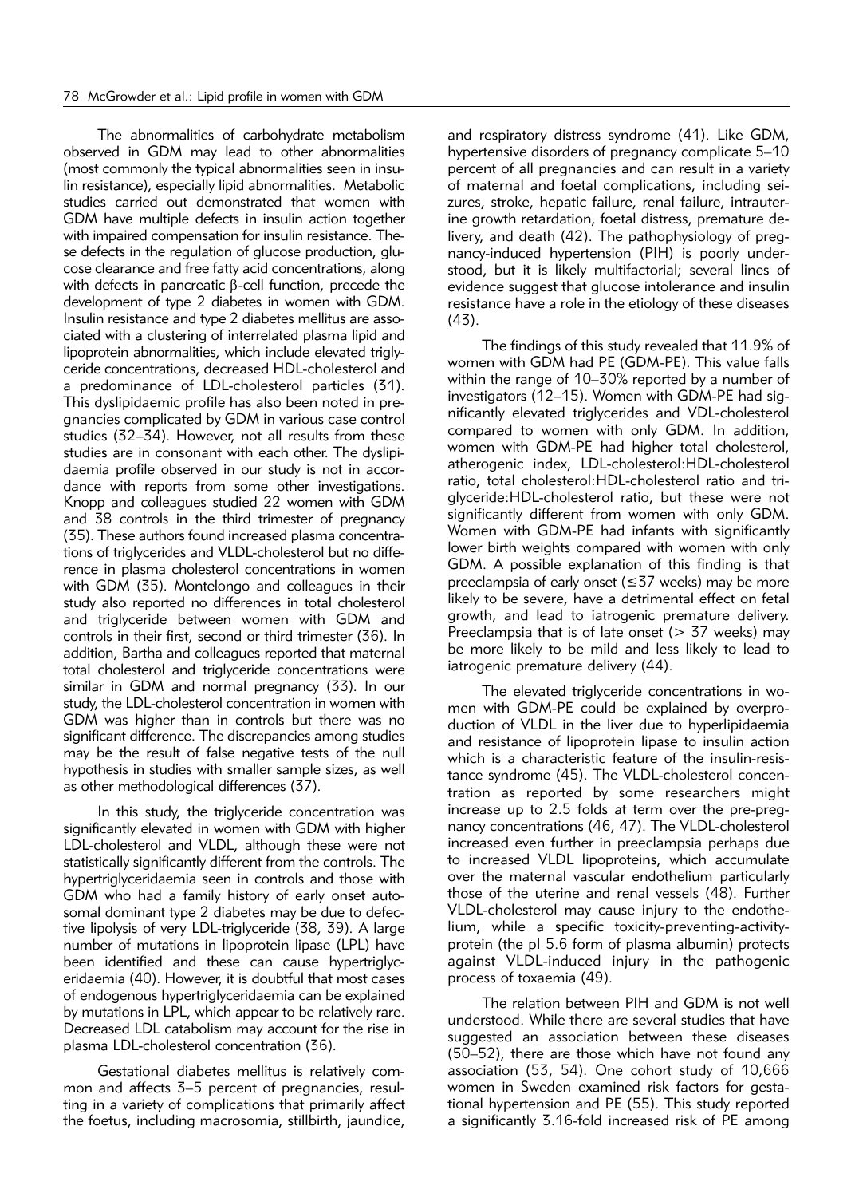The abnormalities of carbohydrate metabolism observed in GDM may lead to other abnormalities (most commonly the typical abnormalities seen in insulin resistance), especially lipid abnormalities. Metabolic studies carried out demonstrated that women with GDM have multiple defects in insulin action together with impaired compensation for insulin resistance. These defects in the regulation of glucose production, glucose clearance and free fatty acid concentrations, along with defects in pancreatic  $\beta$ -cell function, precede the development of type 2 diabetes in women with GDM. Insulin resistance and type 2 diabetes mellitus are associated with a clustering of interrelated plasma lipid and lipoprotein abnormalities, which include elevated triglyceride concentrations, decreased HDL-cholesterol and a predominance of LDL-cholesterol particles (31). This dyslipidaemic profile has also been noted in pregnancies complicated by GDM in various case control stu dies (32–34). However, not all results from these studies are in consonant with each other. The dyslipidaemia profile observed in our study is not in accordance with reports from some other investigations. Knopp and colleagues studied 22 women with GDM and 38 controls in the third trimester of pregnancy (35). These authors found increased plasma concentrations of triglycerides and VLDL-cholesterol but no difference in plasma cholesterol concentrations in women with GDM (35). Montelongo and colleagues in their study also reported no differences in total cholesterol and triglyceride between women with GDM and controls in their first, second or third trimester (36). In addition, Bartha and colleagues reported that maternal total cholesterol and trigly ceride concentrations were similar in GDM and normal pregnancy (33). In our study, the LDL-cholesterol concentration in women with GDM was higher than in controls but there was no significant difference. The discrepancies among studies may be the result of false negative tests of the null hypothesis in studies with smaller sample sizes, as well as other methodological differences (37).

In this study, the triglyceride concentration was significantly elevated in women with GDM with higher LDL-cholesterol and VLDL, although these were not statistically significantly different from the controls. The hypertriglyceridaemia seen in controls and those with GDM who had a family history of early onset autosomal dominant type 2 diabetes may be due to defective lipolysis of very LDL-triglyceride (38, 39). A large number of mutations in lipoprotein lipase (LPL) have been identified and these can cause hypertrigly ceridaemia (40). However, it is doubtful that most cases of endogenous hypertriglyceridaemia can be explained by mutations in LPL, which appear to be relatively rare. Decreased LDL catabolism may account for the rise in plasma LDL-cholesterol concentration (36).

Gestational diabetes mellitus is relatively common and affects 3–5 percent of pregnancies, resulting in a variety of complications that primarily affect the foetus, including macrosomia, stillbirth, jaundice, and respiratory distress syndrome (41). Like GDM, hypertensive disorders of pregnancy complicate 5–10 percent of all pregnancies and can result in a variety of maternal and foetal complications, including seizures, stroke, hepatic failure, renal failure, intrauterine growth retardation, foetal distress, premature delivery, and death (42). The pathophysiology of preqnancy-induced hypertension (PIH) is poorly understood, but it is likely multifactorial; several lines of evidence suggest that glucose intolerance and insulin resistance have a role in the etiology of these diseases (43).

The findings of this study revealed that 11.9% of women with GDM had PE (GDM-PE). This value falls within the range of 10–30% reported by a number of investigators (12-15). Women with GDM-PE had significantly elevated triglycerides and VDL-cholesterol compared to women with only GDM. In addition, women with GDM-PE had higher total cholesterol, atherogenic index, LDL-cholesterol:HDL-cholesterol ratio, total cholesterol: HDL-cholesterol ratio and trigly ceride:HDL-cholesterol ratio, but these were not significantly different from women with only GDM. Women with GDM-PE had infants with significantly lower birth weights compared with women with only GDM. A possible explanation of this finding is that preeclampsia of early onset ( $\leq$ 37 weeks) may be more likely to be severe, have a detrimental effect on fetal growth, and lead to iatrogenic premature delivery. Preeclampsia that is of late onset ( $> 37$  weeks) may be more likely to be mild and less likely to lead to iatrogenic premature delivery (44).

The elevated triglyceride concentrations in women with GDM-PE could be explained by overproduction of VLDL in the liver due to hyperlipidaemia and resistance of lipoprotein lipase to insulin action which is a characteristic feature of the insulin-resistance syndrome (45). The VLDL-cholesterol concentration as reported by some researchers might increase up to 2.5 folds at term over the pre-pregnancy concentrations (46, 47). The VLDL-cholesterol increased even further in preeclampsia perhaps due to increased VLDL lipoproteins, which accumulate over the maternal vascular endothelium particularly those of the uterine and renal vessels (48). Further VLDL-cholesterol may cause injury to the endothelium, while a specific toxicity-preventing-activityprotein (the pI 5.6 form of plasma albumin) protects against VLDL-induced injury in the pathogenic process of toxaemia (49).

The relation between PIH and GDM is not well understood. While there are several studies that have suggested an association between these diseases (50–52), there are those which have not found any association (53, 54). One cohort study of 10,666 women in Sweden examined risk factors for gestational hypertension and PE (55). This study reported a significantly 3.16-fold increased risk of PE among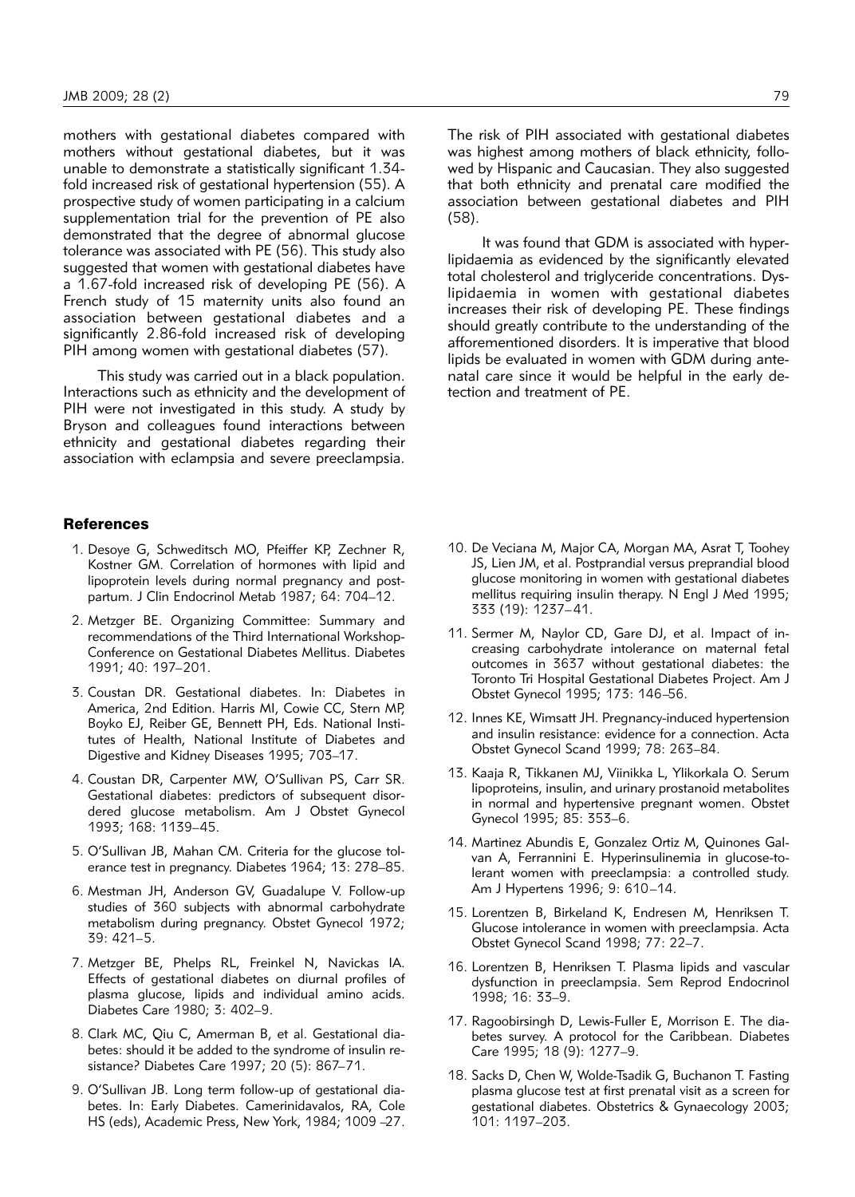mothers with gestational diabetes compared with mothers without gestational diabetes, but it was unable to demonstrate a statistically significant 1.34 fold increased risk of gestational hypertension (55). A prospective study of women participating in a calcium supplementation trial for the prevention of PE also demonstrated that the degree of abnormal glucose tolerance was associated with PE (56). This study also suggested that women with gestational diabetes have a 1.67-fold increased risk of developing PE (56). A French study of 15 maternity units also found an asso ciation between gestational diabetes and a significantly 2.86-fold increased risk of developing PIH among women with gestational diabetes (57).

This study was carried out in a black population. Interactions such as ethnicity and the development of PIH were not investigated in this study. A study by Bryson and colleagues found interactions between ethnicity and gestational diabetes regarding their association with eclampsia and severe preeclampsia.

#### **References**

- 1. Desoye G, Schweditsch MO, Pfeiffer KP, Zechner R, Kostner GM. Correlation of hormones with lipid and lipoprotein levels during normal pregnancy and postpartum. J Clin Endocrinol Metab 1987; 64: 704–12.
- 2. Metzger BE. Organizing Committee: Summary and recommendations of the Third International Workshop-Conference on Gestational Diabetes Mellitus. Diabetes 1991; 40: 197–201.
- 3. Coustan DR. Gestational diabetes. In: Diabetes in America, 2nd Edition. Harris MI, Cowie CC, Stern MP, Boyko EJ, Reiber GE, Bennett PH, Eds. National Institutes of Health, National Institute of Diabetes and Digestive and Kidney Diseases 1995; 703–17.
- 4. Coustan DR, Carpenter MW, O'Sullivan PS, Carr SR. Gestational diabetes: predictors of subsequent disordered glucose metabolism. Am J Obstet Gynecol 1993; 168: 1139–45.
- 5. O'Sullivan JB, Mahan CM. Criteria for the glucose tolerance test in pregnancy. Diabetes 1964; 13: 278–85.
- 6. Mestman JH, Anderson GV, Guadalupe V. Follow-up studies of 360 subjects with abnormal carbohydrate metabolism during pregnancy. Obstet Gynecol 1972; 39: 421–5.
- 7. Metzger BE, Phelps RL, Freinkel N, Navickas IA. Effects of gestational diabetes on diurnal profiles of plasma glucose, lipids and individual amino acids. Diabetes Care 1980; 3: 402–9.
- 8. Clark MC, Qiu C, Amerman B, et al. Gestational diabetes: should it be added to the syndrome of insulin resistance? Diabetes Care 1997; 20 (5): 867–71.
- 9. O'Sullivan JB. Long term follow-up of gestational diabetes. In: Early Diabetes. Camerinidavalos, RA, Cole HS (eds), Academic Press, New York, 1984; 1009 –27.

The risk of PIH associated with gestational diabetes was highest among mothers of black ethnicity, followed by Hispanic and Caucasian. They also suggested that both ethnicity and prenatal care modified the asso ciation between gestational diabetes and PIH (58).

It was found that GDM is associated with hyperlipidaemia as evidenced by the significantly elevated total cholesterol and triglyceride concentrations. Dyslipidaemia in women with gestational diabetes increases their risk of developing PE. These findings should greatly contribute to the understanding of the afforementioned disorders. It is imperative that blood lipids be evaluated in women with GDM during antenatal care since it would be helpful in the early detection and treatment of PE.

- 10. De Veciana M, Major CA, Morgan MA, Asrat T, Toohey JS, Lien JM, et al. Postprandial versus preprandial blood glucose monitoring in women with gestational diabetes mellitus requiring insulin therapy. N Engl J Med 1995; 333 (19): 1237–41.
- 11. Sermer M, Naylor CD, Gare DJ, et al. Impact of increasing carbohydrate intolerance on maternal fetal outcomes in 3637 without gestational diabetes: the Toronto Tri Hospital Gestational Diabetes Project. Am J Obstet Gynecol 1995; 173: 146–56.
- 12. Innes KE, Wimsatt JH. Pregnancy-induced hypertension and insulin resistance: evidence for a connection. Acta Obstet Gynecol Scand 1999; 78: 263–84.
- 13. Kaaja R, Tikkanen MJ, Viinikka L, Ylikorkala O. Serum lipoproteins, insulin, and urinary prostanoid metabolites in normal and hypertensive pregnant women. Obstet Gynecol 1995; 85: 353–6.
- 14. Martinez Abundis E, Gonzalez Ortiz M, Quinones Galvan A, Ferrannini E. Hyperinsulinemia in glucose-tolerant women with preeclampsia: a controlled study. Am J Hypertens 1996; 9: 610–14.
- 15. Lorentzen B, Birkeland K, Endresen M, Henriksen T. Glucose intolerance in women with preeclampsia. Acta Obstet Gynecol Scand 1998; 77: 22–7.
- 16. Lorentzen B, Henriksen T. Plasma lipids and vascular dysfunction in preeclampsia. Sem Reprod Endocrinol 1998; 16: 33–9.
- 17. Ragoobirsingh D, Lewis-Fuller E, Morrison E. The diabetes survey. A protocol for the Caribbean. Diabetes Care 1995; 18 (9): 1277–9.
- 18. Sacks D, Chen W, Wolde-Tsadik G, Buchanon T. Fasting plasma glucose test at first prenatal visit as a screen for gestational diabetes. Obstetrics & Gynaecology 2003; 101: 1197–203.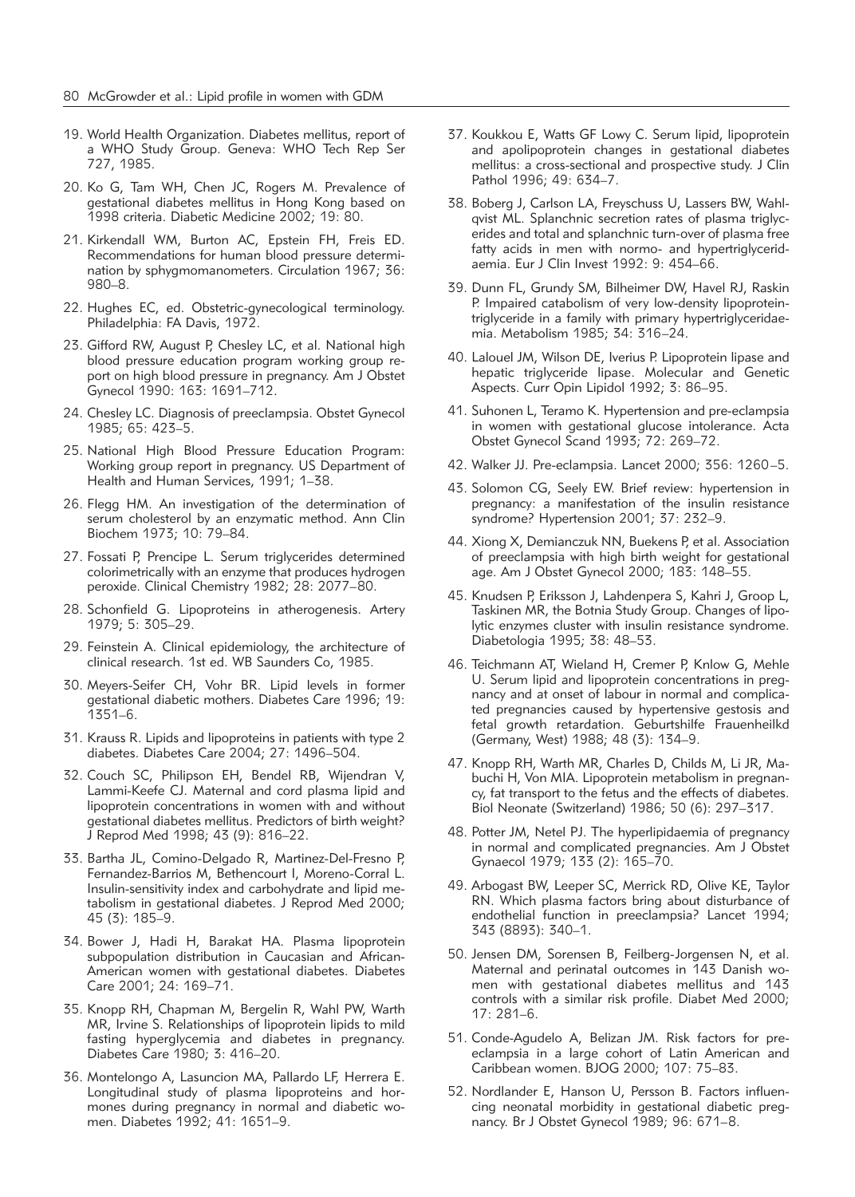- 19. World Health Organization. Diabetes mellitus, report of a WHO Study Group. Geneva: WHO Tech Rep Ser 727, 1985.
- 20. Ko G, Tam WH, Chen JC, Rogers M. Prevalence of gestational diabetes mellitus in Hong Kong based on 1998 criteria. Diabetic Medicine 2002; 19: 80.
- 21. Kirkendall WM, Burton AC, Epstein FH, Freis ED. Recommendations for human blood pressure determination by sphygmomanometers. Circulation 1967; 36: 980–8.
- 22. Hughes EC, ed. Obstetric-gynecological terminology. Philadelphia: FA Davis, 1972.
- 23. Gifford RW, August P, Chesley LC, et al. National high blood pressure education program working group report on high blood pressure in pregnancy. Am J Obstet Gynecol 1990: 163: 1691–712.
- 24. Chesley LC. Diagnosis of preeclampsia. Obstet Gynecol 1985; 65: 423–5.
- 25. National High Blood Pressure Education Program: Working group report in pregnancy. US Department of Health and Human Services, 1991; 1–38.
- 26. Flegg HM. An investigation of the determination of serum cholesterol by an enzymatic method. Ann Clin Biochem 1973; 10: 79–84.
- 27. Fossati P, Prencipe L. Serum triglycerides determined colorimetrically with an enzyme that produces hydrogen peroxide. Clinical Chemistry 1982; 28: 2077–80.
- 28. Schonfield G. Lipoproteins in atherogenesis. Artery 1979; 5: 305–29.
- 29. Feinstein A. Clinical epidemiology, the architecture of clinical research. 1st ed. WB Saunders Co, 1985.
- 30. Meyers-Seifer CH, Vohr BR. Lipid levels in former gestational diabetic mothers. Diabetes Care 1996; 19: 1351–6.
- 31. Krauss R. Lipids and lipoproteins in patients with type 2 diabetes. Diabetes Care 2004; 27: 1496–504.
- 32. Couch SC, Philipson EH, Bendel RB, Wijendran V, Lammi-Keefe CJ. Maternal and cord plasma lipid and lipoprotein concentrations in women with and without gestational diabetes mellitus. Predictors of birth weight? J Reprod Med 1998; 43 (9): 816–22.
- 33. Bartha JL, Comino-Delgado R, Martinez-Del-Fresno P, Fernandez-Barrios M, Bethencourt I, Moreno-Corral L. Insulin-sensitivity index and carbohydrate and lipid me tabolism in gestational diabetes. J Reprod Med 2000; 45 (3): 185–9.
- 34. Bower J, Hadi H, Barakat HA. Plasma lipoprotein subpopulation distribution in Caucasian and African-American women with gestational diabetes. Diabetes Care 2001; 24: 169–71.
- 35. Knopp RH, Chapman M, Bergelin R, Wahl PW, Warth MR, Irvine S. Relationships of lipoprotein lipids to mild fasting hyperglycemia and diabetes in pregnancy. Diabetes Care 1980; 3: 416–20.
- 36. Montelongo A, Lasuncion MA, Pallardo LF, Herrera E. Longitudinal study of plasma lipoproteins and hormones during pregnancy in normal and diabetic women. Diabetes 1992; 41: 1651–9.
- 37. Koukkou E, Watts GF Lowy C. Serum lipid, lipoprotein and apolipoprotein changes in gestational diabetes mellitus: a cross-sectional and prospective study. J Clin Pathol 1996; 49: 634–7.
- 38. Boberg J, Carlson LA, Freyschuss U, Lassers BW, Wahlqvist ML. Splanchnic secretion rates of plasma triglycerides and total and splanchnic turn-over of plasma free fatty acids in men with normo- and hypertriglyceridaemia. Eur J Clin Invest 1992: 9: 454–66.
- 39. Dunn FL, Grundy SM, Bilheimer DW, Havel RJ, Raskin P. Impaired catabolism of very low-density lipoproteintriglyceride in a family with primary hypertriglyceridaemia. Metabolism 1985; 34: 316–24.
- 40. Lalouel JM, Wilson DE, Iverius P. Lipoprotein lipase and hepatic triglyceride lipase. Molecular and Genetic Aspects. Curr Opin Lipidol 1992; 3: 86–95.
- 41. Suhonen L, Teramo K. Hypertension and pre-eclampsia in women with gestational glucose intolerance. Acta Obstet Gynecol Scand 1993; 72: 269–72.
- 42. Walker JJ. Pre-eclampsia. Lancet 2000; 356: 1260–5.
- 43. Solomon CG, Seely EW. Brief review: hypertension in pregnancy: a manifestation of the insulin resistance syndrome? Hypertension 2001; 37: 232–9.
- 44. Xiong X, Demianczuk NN, Buekens P, et al. Association of preeclampsia with high birth weight for gestational age. Am J Obstet Gynecol 2000; 183: 148–55.
- 45. Knudsen P, Eriksson J, Lahdenpera S, Kahri J, Groop L, Taskinen MR, the Botnia Study Group. Changes of lipolytic enzymes cluster with insulin resistance syndrome. Diabetologia 1995; 38: 48–53.
- 46. Teichmann AT, Wieland H, Cremer P, Knlow G, Mehle U. Serum lipid and lipoprotein concentrations in pregnancy and at onset of labour in normal and complicated pregnancies caused by hypertensive gestosis and fetal growth retardation. Geburtshilfe Frauenheilkd (Germany, West) 1988; 48 (3): 134–9.
- 47. Knopp RH, Warth MR, Charles D, Childs M, Li JR, Mabuchi H, Von MIA. Lipoprotein metabolism in pregnancy, fat transport to the fetus and the effects of diabetes. Biol Neonate (Switzerland) 1986; 50 (6): 297–317.
- 48. Potter JM, Netel PJ. The hyperlipidaemia of pregnancy in normal and complicated pregnancies. Am J Obstet Gynaecol 1979; 133 (2): 165–70.
- 49. Arbogast BW, Leeper SC, Merrick RD, Olive KE, Taylor RN. Which plasma factors bring about disturbance of endothelial function in preeclampsia? Lancet 1994; 343 (8893): 340–1.
- 50. Jensen DM, Sorensen B, Feilberg-Jorgensen N, et al. Maternal and perinatal outcomes in 143 Danish women with gestational diabetes mellitus and 143 controls with a similar risk profile. Diabet Med 2000; 17: 281–6.
- 51. Conde-Agudelo A, Belizan JM. Risk factors for preeclampsia in a large cohort of Latin American and Caribbean women. BJOG 2000; 107: 75–83.
- 52. Nordlander E, Hanson U, Persson B. Factors influencing neonatal morbidity in gestational diabetic pregnancy. Br J Obstet Gynecol 1989; 96: 671-8.